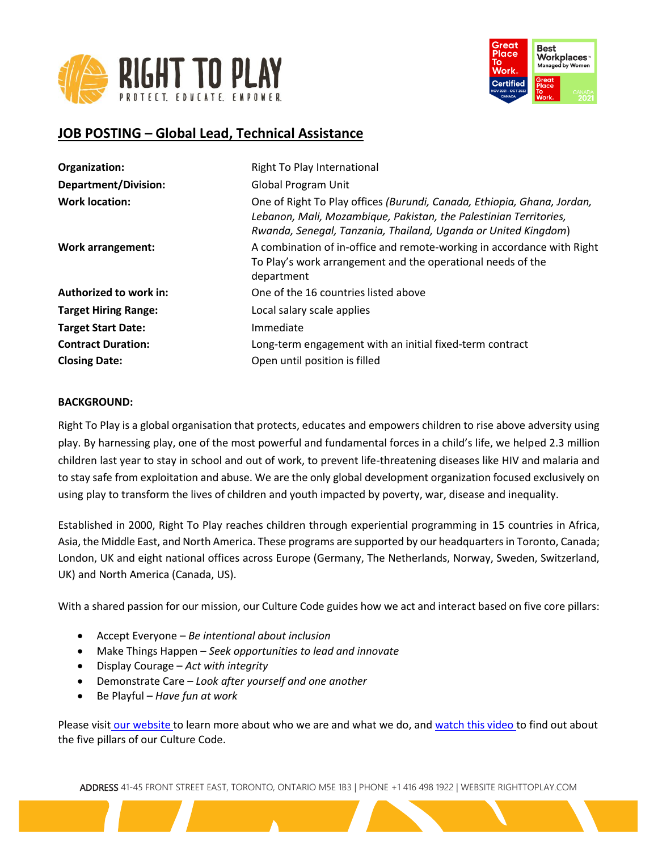



# **JOB POSTING – Global Lead, Technical Assistance**

| Organization:                 | Right To Play International                                                                                                                                                                                    |
|-------------------------------|----------------------------------------------------------------------------------------------------------------------------------------------------------------------------------------------------------------|
| <b>Department/Division:</b>   | <b>Global Program Unit</b>                                                                                                                                                                                     |
| <b>Work location:</b>         | One of Right To Play offices (Burundi, Canada, Ethiopia, Ghana, Jordan,<br>Lebanon, Mali, Mozambique, Pakistan, the Palestinian Territories,<br>Rwanda, Senegal, Tanzania, Thailand, Uganda or United Kingdom) |
| <b>Work arrangement:</b>      | A combination of in-office and remote-working in accordance with Right<br>To Play's work arrangement and the operational needs of the<br>department                                                            |
| <b>Authorized to work in:</b> | One of the 16 countries listed above                                                                                                                                                                           |
| <b>Target Hiring Range:</b>   | Local salary scale applies                                                                                                                                                                                     |
| <b>Target Start Date:</b>     | Immediate                                                                                                                                                                                                      |
| <b>Contract Duration:</b>     | Long-term engagement with an initial fixed-term contract                                                                                                                                                       |
| <b>Closing Date:</b>          | Open until position is filled                                                                                                                                                                                  |

#### **BACKGROUND:**

Right To Play is a global organisation that protects, educates and empowers children to rise above adversity using play. By harnessing play, one of the most powerful and fundamental forces in a child's life, we helped 2.3 million children last year to stay in school and out of work, to prevent life-threatening diseases like HIV and malaria and to stay safe from exploitation and abuse. We are the only global development organization focused exclusively on using play to transform the lives of children and youth impacted by poverty, war, disease and inequality.

Established in 2000, Right To Play reaches children through experiential programming in 15 countries in Africa, Asia, the Middle East, and North America. These programs are supported by our headquarters in Toronto, Canada; London, UK and eight national offices across Europe (Germany, The Netherlands, Norway, Sweden, Switzerland, UK) and North America (Canada, US).

With a shared passion for our mission, our Culture Code guides how we act and interact based on five core pillars:

- Accept Everyone *Be intentional about inclusion*
- Make Things Happen *Seek opportunities to lead and innovate*
- Display Courage *Act with integrity*
- Demonstrate Care *Look after yourself and one another*
- Be Playful *Have fun at work*

Please visit [our website](http://www.righttoplay.ca/) to learn more about who we are and what we do, and [watch this video](https://www.righttoplay.com/en/landing/our-culture-code/) to find out about the five pillars of our Culture Code.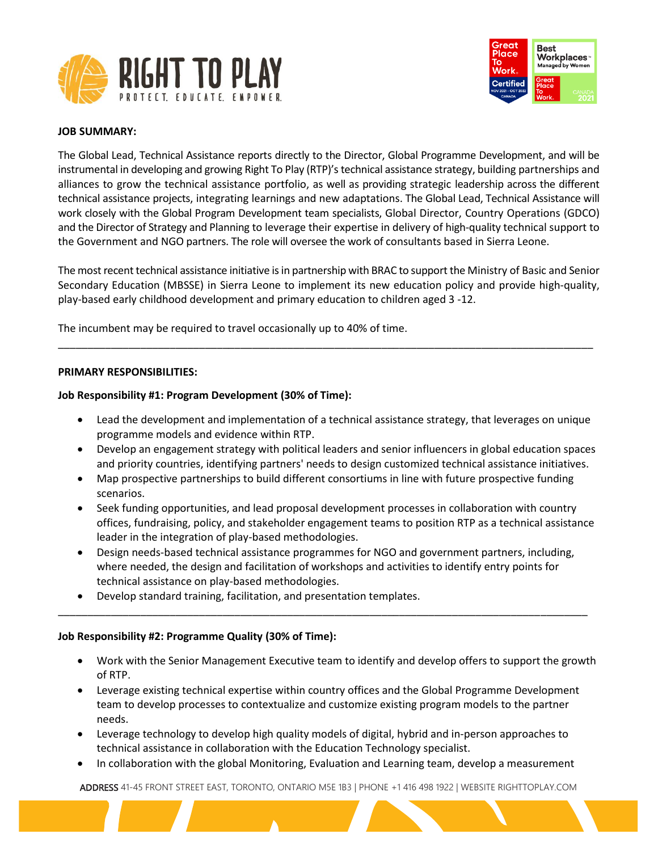



#### **JOB SUMMARY:**

The Global Lead, Technical Assistance reports directly to the Director, Global Programme Development, and will be instrumental in developing and growing Right To Play (RTP)'s technical assistance strategy, building partnerships and alliances to grow the technical assistance portfolio, as well as providing strategic leadership across the different technical assistance projects, integrating learnings and new adaptations. The Global Lead, Technical Assistance will work closely with the Global Program Development team specialists, Global Director, Country Operations (GDCO) and the Director of Strategy and Planning to leverage their expertise in delivery of high-quality technical support to the Government and NGO partners. The role will oversee the work of consultants based in Sierra Leone.

The most recent technical assistance initiative is in partnership with BRAC to support the Ministry of Basic and Senior Secondary Education (MBSSE) in Sierra Leone to implement its new education policy and provide high-quality, play-based early childhood development and primary education to children aged 3 -12.

\_\_\_\_\_\_\_\_\_\_\_\_\_\_\_\_\_\_\_\_\_\_\_\_\_\_\_\_\_\_\_\_\_\_\_\_\_\_\_\_\_\_\_\_\_\_\_\_\_\_\_\_\_\_\_\_\_\_\_\_\_\_\_\_\_\_\_\_\_\_\_\_\_\_\_\_\_\_\_\_\_\_\_\_\_\_\_\_\_\_\_

The incumbent may be required to travel occasionally up to 40% of time.

#### **PRIMARY RESPONSIBILITIES:**

#### **Job Responsibility #1: Program Development (30% of Time):**

- Lead the development and implementation of a technical assistance strategy, that leverages on unique programme models and evidence within RTP.
- Develop an engagement strategy with political leaders and senior influencers in global education spaces and priority countries, identifying partners' needs to design customized technical assistance initiatives.
- Map prospective partnerships to build different consortiums in line with future prospective funding scenarios.
- Seek funding opportunities, and lead proposal development processes in collaboration with country offices, fundraising, policy, and stakeholder engagement teams to position RTP as a technical assistance leader in the integration of play-based methodologies.
- Design needs-based technical assistance programmes for NGO and government partners, including, where needed, the design and facilitation of workshops and activities to identify entry points for technical assistance on play-based methodologies.

\_\_\_\_\_\_\_\_\_\_\_\_\_\_\_\_\_\_\_\_\_\_\_\_\_\_\_\_\_\_\_\_\_\_\_\_\_\_\_\_\_\_\_\_\_\_\_\_\_\_\_\_\_\_\_\_\_\_\_\_\_\_\_\_\_\_\_\_\_\_\_\_\_\_\_\_\_\_\_\_\_\_\_\_\_\_\_\_\_\_

• Develop standard training, facilitation, and presentation templates.

#### **Job Responsibility #2: Programme Quality (30% of Time):**

- Work with the Senior Management Executive team to identify and develop offers to support the growth of RTP.
- Leverage existing technical expertise within country offices and the Global Programme Development team to develop processes to contextualize and customize existing program models to the partner needs.
- Leverage technology to develop high quality models of digital, hybrid and in-person approaches to technical assistance in collaboration with the Education Technology specialist.
- In collaboration with the global Monitoring, Evaluation and Learning team, develop a measurement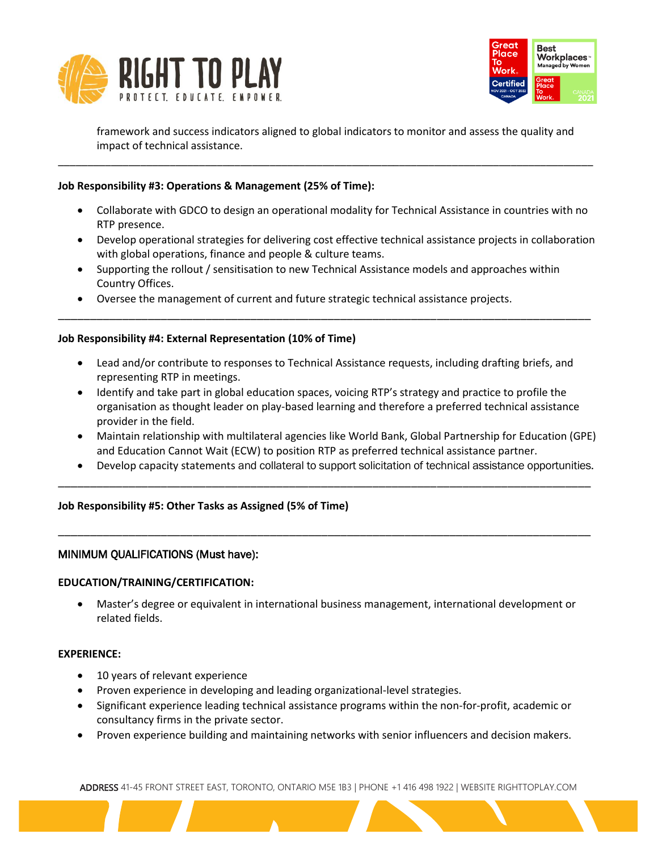



framework and success indicators aligned to global indicators to monitor and assess the quality and impact of technical assistance.

\_\_\_\_\_\_\_\_\_\_\_\_\_\_\_\_\_\_\_\_\_\_\_\_\_\_\_\_\_\_\_\_\_\_\_\_\_\_\_\_\_\_\_\_\_\_\_\_\_\_\_\_\_\_\_\_\_\_\_\_\_\_\_\_\_\_\_\_\_\_\_\_\_\_\_\_\_\_\_\_\_\_\_\_\_\_\_\_\_\_\_

# **Job Responsibility #3: Operations & Management (25% of Time):**

- Collaborate with GDCO to design an operational modality for Technical Assistance in countries with no RTP presence.
- Develop operational strategies for delivering cost effective technical assistance projects in collaboration with global operations, finance and people & culture teams.
- Supporting the rollout / sensitisation to new Technical Assistance models and approaches within Country Offices.

\_\_\_\_\_\_\_\_\_\_\_\_\_\_\_\_\_\_\_\_\_\_\_\_\_\_\_\_\_\_\_\_\_\_\_\_\_\_\_\_\_\_\_\_\_\_\_\_\_\_\_\_\_\_\_\_\_\_\_\_\_\_\_\_\_\_\_\_\_\_\_\_\_\_\_\_\_\_\_\_\_\_\_

• Oversee the management of current and future strategic technical assistance projects.

# **Job Responsibility #4: External Representation (10% of Time)**

- Lead and/or contribute to responses to Technical Assistance requests, including drafting briefs, and representing RTP in meetings.
- Identify and take part in global education spaces, voicing RTP's strategy and practice to profile the organisation as thought leader on play-based learning and therefore a preferred technical assistance provider in the field.
- Maintain relationship with multilateral agencies like World Bank, Global Partnership for Education (GPE) and Education Cannot Wait (ECW) to position RTP as preferred technical assistance partner.
- Develop capacity statements and collateral to support solicitation of technical assistance opportunities.

\_\_\_\_\_\_\_\_\_\_\_\_\_\_\_\_\_\_\_\_\_\_\_\_\_\_\_\_\_\_\_\_\_\_\_\_\_\_\_\_\_\_\_\_\_\_\_\_\_\_\_\_\_\_\_\_\_\_\_\_\_\_\_\_\_\_\_\_\_\_\_\_\_\_\_\_\_\_\_\_\_\_\_

\_\_\_\_\_\_\_\_\_\_\_\_\_\_\_\_\_\_\_\_\_\_\_\_\_\_\_\_\_\_\_\_\_\_\_\_\_\_\_\_\_\_\_\_\_\_\_\_\_\_\_\_\_\_\_\_\_\_\_\_\_\_\_\_\_\_\_\_\_\_\_\_\_\_\_\_\_\_\_\_\_\_\_

# **Job Responsibility #5: Other Tasks as Assigned (5% of Time)**

# MINIMUM QUALIFICATIONS (Must have):

# **EDUCATION/TRAINING/CERTIFICATION:**

• Master's degree or equivalent in international business management, international development or related fields.

#### **EXPERIENCE:**

- 10 years of relevant experience
- Proven experience in developing and leading organizational-level strategies.
- Significant experience leading technical assistance programs within the non-for-profit, academic or consultancy firms in the private sector.
- Proven experience building and maintaining networks with senior influencers and decision makers.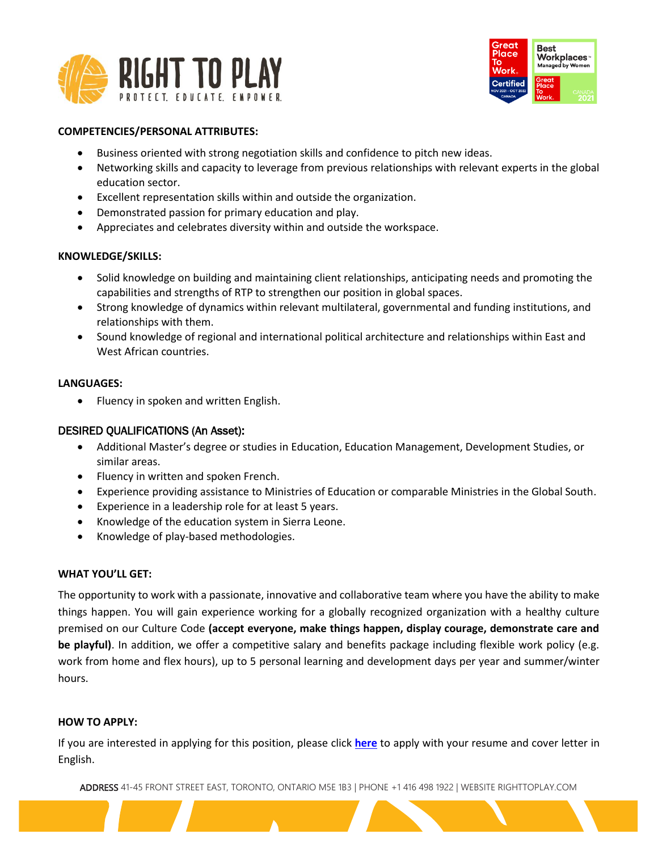



#### **COMPETENCIES/PERSONAL ATTRIBUTES:**

- Business oriented with strong negotiation skills and confidence to pitch new ideas.
- Networking skills and capacity to leverage from previous relationships with relevant experts in the global education sector.
- Excellent representation skills within and outside the organization.
- Demonstrated passion for primary education and play.
- Appreciates and celebrates diversity within and outside the workspace.

# **KNOWLEDGE/SKILLS:**

- Solid knowledge on building and maintaining client relationships, anticipating needs and promoting the capabilities and strengths of RTP to strengthen our position in global spaces.
- Strong knowledge of dynamics within relevant multilateral, governmental and funding institutions, and relationships with them.
- Sound knowledge of regional and international political architecture and relationships within East and West African countries.

# **LANGUAGES:**

• Fluency in spoken and written English.

# DESIRED QUALIFICATIONS (An Asset):

- Additional Master's degree or studies in Education, Education Management, Development Studies, or similar areas.
- Fluency in written and spoken French.
- Experience providing assistance to Ministries of Education or comparable Ministries in the Global South.
- Experience in a leadership role for at least 5 years.
- Knowledge of the education system in Sierra Leone.
- Knowledge of play-based methodologies.

# **WHAT YOU'LL GET:**

The opportunity to work with a passionate, innovative and collaborative team where you have the ability to make things happen. You will gain experience working for a globally recognized organization with a healthy culture premised on our Culture Code **(accept everyone, make things happen, display courage, demonstrate care and be playful)**. In addition, we offer a competitive salary and benefits package including flexible work policy (e.g. work from home and flex hours), up to 5 personal learning and development days per year and summer/winter hours.

#### **HOW TO APPLY:**

If you are interested in applying for this position, please click **[here](https://righttoplay.hiringplatform.ca/70109-global-lead-technical-assistance/252696-application-form/en)** to apply with your resume and cover letter in English.